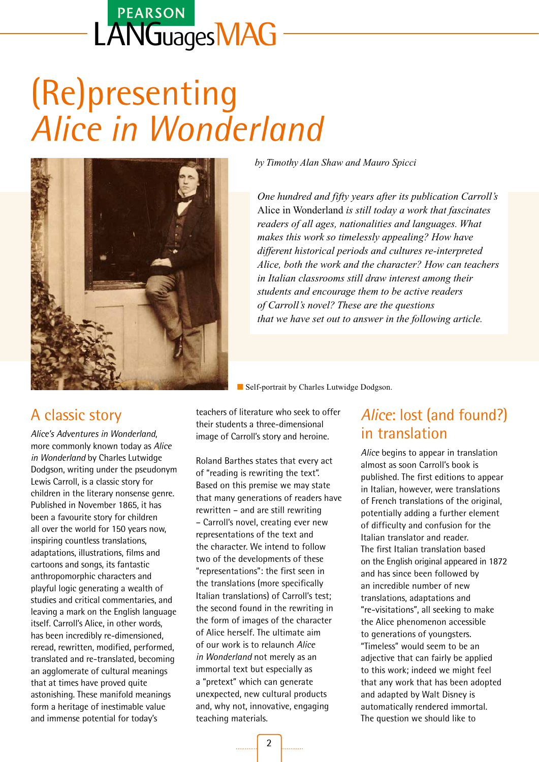# PEARSON<br>LANGuagesMAG

## (Re)presenting *Alice in Wonderland*



*by Timothy Alan Shaw and Mauro Spicci*

*One hundred and fifty years after its publication Carroll's*  Alice in Wonderland *is still today a work that fascinates readers of all ages, nationalities and languages. What makes this work so timelessly appealing? How have different historical periods and cultures re-interpreted Alice, both the work and the character? How can teachers in Italian classrooms still draw interest among their students and encourage them to be active readers of Carroll's novel? These are the questions that we have set out to answer in the following article.* 

■ Self-portrait by Charles Lutwidge Dodgson.

### A classic story

*Alice's Adventures in Wonderland*, more commonly known today as *Alice in Wonderland* by Charles Lutwidge Dodgson, writing under the pseudonym Lewis Carroll, is a classic story for children in the literary nonsense genre. Published in November 1865, it has been a favourite story for children all over the world for 150 years now, inspiring countless translations, adaptations, illustrations, films and cartoons and songs, its fantastic anthropomorphic characters and playful logic generating a wealth of studies and critical commentaries, and leaving a mark on the English language itself. Carroll's Alice, in other words, has been incredibly re-dimensioned, reread, rewritten, modified, performed, translated and re-translated, becoming an agglomerate of cultural meanings that at times have proved quite astonishing. These manifold meanings form a heritage of inestimable value and immense potential for today's

teachers of literature who seek to offer their students a three-dimensional image of Carroll's story and heroine.

Roland Barthes states that every act of "reading is rewriting the text". Based on this premise we may state that many generations of readers have rewritten – and are still rewriting – Carroll's novel, creating ever new representations of the text and the character. We intend to follow two of the developments of these "representations": the first seen in the translations (more specifically Italian translations) of Carroll's test; the second found in the rewriting in the form of images of the character of Alice herself. The ultimate aim of our work is to relaunch *Alice in Wonderland* not merely as an immortal text but especially as a "pretext" which can generate unexpected, new cultural products and, why not, innovative, engaging teaching materials.

### *Alice*: lost (and found?) in translation

*Alice* begins to appear in translation almost as soon Carroll's book is published. The first editions to appear in Italian, however, were translations of French translations of the original, potentially adding a further element of difficulty and confusion for the Italian translator and reader. The first Italian translation based on the English original appeared in 1872 and has since been followed by an incredible number of new translations, adaptations and "re-visitations", all seeking to make the Alice phenomenon accessible to generations of youngsters. "Timeless" would seem to be an adjective that can fairly be applied to this work; indeed we might feel that any work that has been adopted and adapted by Walt Disney is automatically rendered immortal. The question we should like to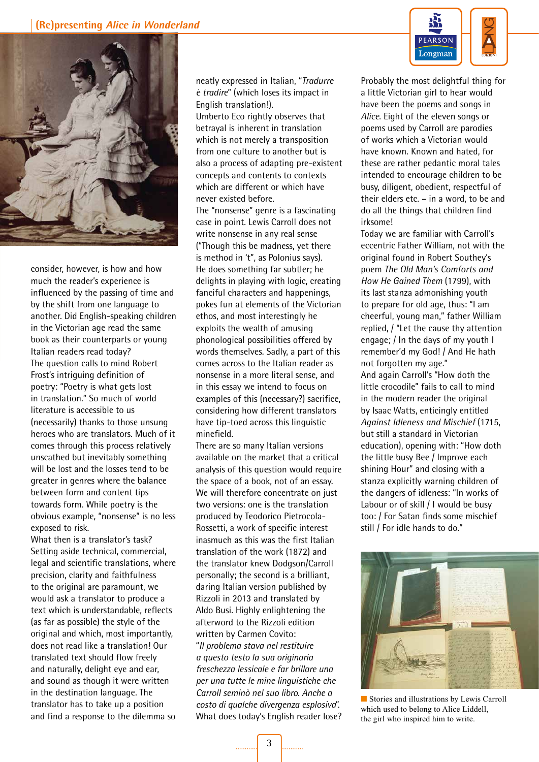



consider, however, is how and how much the reader's experience is influenced by the passing of time and by the shift from one language to another. Did English-speaking children in the Victorian age read the same book as their counterparts or young Italian readers read today? The question calls to mind Robert Frost's intriguing definition of poetry: "Poetry is what gets lost in translation." So much of world literature is accessible to us (necessarily) thanks to those unsung heroes who are translators. Much of it comes through this process relatively unscathed but inevitably something will be lost and the losses tend to be greater in genres where the balance between form and content tips towards form. While poetry is the obvious example, "nonsense" is no less exposed to risk.

What then is a translator's task? Setting aside technical, commercial, legal and scientific translations, where precision, clarity and faithfulness to the original are paramount, we would ask a translator to produce a text which is understandable, reflects (as far as possible) the style of the original and which, most importantly, does not read like a translation! Our translated text should flow freely and naturally, delight eye and ear, and sound as though it were written in the destination language. The translator has to take up a position and find a response to the dilemma so

neatly expressed in Italian, "*Tradurre è tradire*" (which loses its impact in English translation!).

Umberto Eco rightly observes that betrayal is inherent in translation which is not merely a transposition from one culture to another but is also a process of adapting pre-existent concepts and contents to contexts which are different or which have never existed before.

The "nonsense" genre is a fascinating case in point. Lewis Carroll does not write nonsense in any real sense ("Though this be madness, yet there is method in 't", as Polonius says). He does something far subtler; he delights in playing with logic, creating fanciful characters and happenings, pokes fun at elements of the Victorian ethos, and most interestingly he exploits the wealth of amusing phonological possibilities offered by words themselves. Sadly, a part of this comes across to the Italian reader as nonsense in a more literal sense, and in this essay we intend to focus on examples of this (necessary?) sacrifice, considering how different translators have tip-toed across this linguistic minefield.

There are so many Italian versions available on the market that a critical analysis of this question would require the space of a book, not of an essay. We will therefore concentrate on just two versions: one is the translation produced by Teodorico Pietrocola-Rossetti, a work of specific interest inasmuch as this was the first Italian translation of the work (1872) and the translator knew Dodgson/Carroll personally; the second is a brilliant, daring Italian version published by Rizzoli in 2013 and translated by Aldo Busi. Highly enlightening the afterword to the Rizzoli edition written by Carmen Covito: "*Il problema stava nel restituire a questo testo la sua originaria freschezza lessicale e far brillare una per una tutte le mine linguistiche che Carroll seminò nel suo libro. Anche a costo di qualche divergenza esplosiva*". What does today's English reader lose?

Probably the most delightful thing for a little Victorian girl to hear would have been the poems and songs in *Alice*. Eight of the eleven songs or poems used by Carroll are parodies of works which a Victorian would have known. Known and hated, for these are rather pedantic moral tales intended to encourage children to be busy, diligent, obedient, respectful of their elders etc. – in a word, to be and do all the things that children find irksome!

Today we are familiar with Carroll's eccentric Father William, not with the original found in Robert Southey's poem *The Old Man's Comforts and How He Gained Them* (1799), with its last stanza admonishing youth to prepare for old age, thus: "I am cheerful, young man," father William replied, / "Let the cause thy attention engage; / In the days of my youth I remember'd my God! / And He hath not forgotten my age." And again Carroll's "How doth the little crocodile" fails to call to mind in the modern reader the original by Isaac Watts, enticingly entitled *Against Idleness and Mischief* (1715, but still a standard in Victorian education), opening with: "How doth the little busy Bee / Improve each shining Hour" and closing with a stanza explicitly warning children of the dangers of idleness: "In works of Labour or of skill / I would be busy too: / For Satan finds some mischief still / For idle hands to do."



■ Stories and illustrations by Lewis Carroll which used to belong to Alice Liddell, the girl who inspired him to write.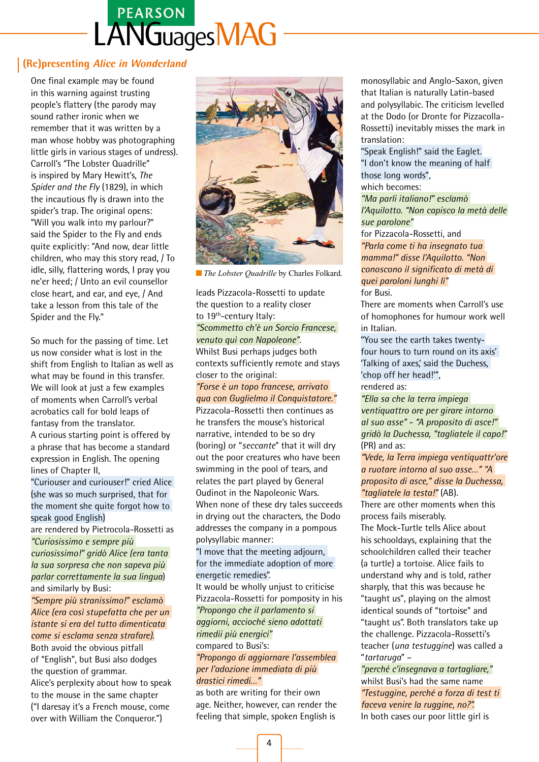# PEARSON<br>LANGuagesMAG

#### **(Re)presenting Alice in Wonderland**

One final example may be found in this warning against trusting people's flattery (the parody may sound rather ironic when we remember that it was written by a man whose hobby was photographing little girls in various stages of undress). Carroll's "The Lobster Quadrille" is inspired by Mary Hewitt's, *The Spider and the Fly* (1829), in which the incautious fly is drawn into the spider's trap. The original opens: "Will you walk into my parlour?" said the Spider to the Fly and ends quite explicitly: "And now, dear little children, who may this story read, / To idle, silly, flattering words, I pray you ne'er heed; / Unto an evil counsellor close heart, and ear, and eye, / And take a lesson from this tale of the Spider and the Fly."

So much for the passing of time. Let us now consider what is lost in the shift from English to Italian as well as what may be found in this transfer. We will look at just a few examples of moments when Carroll's verbal acrobatics call for bold leaps of fantasy from the translator. A curious starting point is offered by a phrase that has become a standard expression in English. The opening lines of Chapter II, "Curiouser and curiouser!" cried Alice (she was so much surprised, that for the moment she quite forgot how to speak good English) are rendered by Pietrocola-Rossetti as *"Curiosissimo e sempre più curiosissimo!" gridò Alice (era tanta la sua sorpresa che non sapeva più parlar correttamente la sua lingua*) and similarly by Busi: *"Sempre più stranissimo!" esclamò Alice (era così stupefatta che per un* 

*istante si era del tutto dimenticata come si esclama senza strafare).* Both avoid the obvious pitfall of "English", but Busi also dodges the question of grammar. Alice's perplexity about how to speak

to the mouse in the same chapter ("I daresay it's a French mouse, come over with William the Conqueror.")



**n** *The Lobster Quadrille* by Charles Folkard.

leads Pizzacola-Rossetti to update the question to a reality closer to 19<sup>th</sup>-century Italy: *"Scommetto ch'è un Sorcio Francese, venuto quì con Napoleone"*. Whilst Busi perhaps judges both contexts sufficiently remote and stays closer to the original: *"Forse è un topo francese, arrivato qua con Guglielmo il Conquistatore."*

Pizzacola-Rossetti then continues as he transfers the mouse's historical narrative, intended to be so dry (boring) or "*seccante*" that it will dry out the poor creatures who have been swimming in the pool of tears, and relates the part played by General Oudinot in the Napoleonic Wars. When none of these dry tales succeeds in drying out the characters, the Dodo addresses the company in a pompous polysyllabic manner:

"I move that the meeting adjourn, for the immediate adoption of more energetic remedies".

It would be wholly unjust to criticise Pizzacola-Rossetti for pomposity in his *"Propongo che il parlamento si aggiorni, accioché sieno adottati rimedii più energici"* compared to Busi's:

*"Propongo di aggiornare l'assemblea per l'adozione immediata di più drastici rimedi…"* 

as both are writing for their own age. Neither, however, can render the feeling that simple, spoken English is

monosyllabic and Anglo-Saxon, given that Italian is naturally Latin-based and polysyllabic. The criticism levelled at the Dodo (or Dronte for Pizzacolla-Rossetti) inevitably misses the mark in translation:

"Speak English!" said the Eaglet. "I don't know the meaning of half those long words", which becomes:

*"Ma parli italiano!" esclamò l'Aquilotto. "Non capisco la metà delle sue parolone"*

for Pizzacola-Rossetti, and *"Parla come ti ha insegnato tua mamma!" disse l'Aquilotto. "Non conoscono il significato di metà di quei paroloni lunghi lì"* for Busi.

There are moments when Carroll's use of homophones for humour work well in Italian.

"You see the earth takes twentyfour hours to turn round on its axis' 'Talking of axes' said the Duchess, 'chop off her head!'", rendered as:

*"Ella sa che la terra impiega ventiquattro ore per girare intorno al suo asse" - "A proposito di asce!" gridò la Duchessa, "tagliatele il capo!"* (PR) and as:

*"Vede, la Terra impiega ventiquattr'ore a ruotare intorno al suo asse…" "A proposito di asce," disse la Duchessa, "tagliatele la testa!"* (AB).

There are other moments when this process fails miserably.

The Mock-Turtle tells Alice about his schooldays, explaining that the schoolchildren called their teacher (a turtle) a tortoise. Alice fails to understand why and is told, rather sharply, that this was because he "taught us", playing on the almost identical sounds of "tortoise" and "taught us". Both translators take up the challenge. Pizzacola-Rossetti's teacher (*una testuggine*) was called a "*tartaruga*" –

*"perché c'insegnava a tartagliare,"* whilst Busi's had the same name *"Testuggine, perché a forza di test ti faceva venire la ruggine, no?".* In both cases our poor little girl is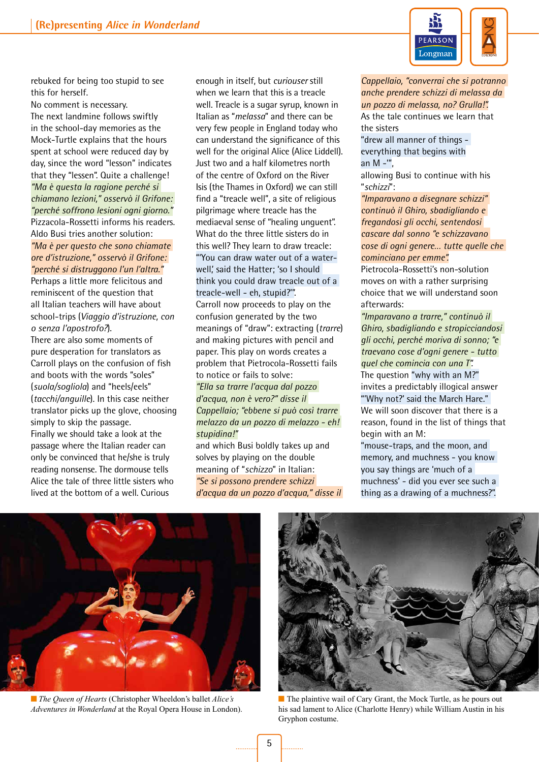

rebuked for being too stupid to see this for herself.

No comment is necessary. The next landmine follows swiftly in the school-day memories as the Mock-Turtle explains that the hours spent at school were reduced day by day, since the word "lesson" indicates that they "lessen". Quite a challenge! *"Ma è questa la ragione perché si chiamano lezioni," osservò il Grifone: "perché soffrono lesioni ogni giorno."* Pizzacola-Rossetti informs his readers. Aldo Busi tries another solution: *"Ma è per questo che sono chiamate ore d'istruzione," osservò il Grifone: "perché si distruggono l'un l'altra."* Perhaps a little more felicitous and

reminiscent of the question that all Italian teachers will have about school-trips (*Viaggio d'istruzione, con o senza l'apostrofo?*).

There are also some moments of pure desperation for translators as Carroll plays on the confusion of fish and boots with the words "soles" (*suola/sogliola*) and "heels/eels" (*tacchi/anguille*). In this case neither translator picks up the glove, choosing simply to skip the passage. Finally we should take a look at the passage where the Italian reader can only be convinced that he/she is truly reading nonsense. The dormouse tells Alice the tale of three little sisters who lived at the bottom of a well. Curious

enough in itself, but *curiouser* still when we learn that this is a treacle well. Treacle is a sugar syrup, known in Italian as "*melassa*" and there can be very few people in England today who can understand the significance of this well for the original Alice (Alice Liddell). Just two and a half kilometres north of the centre of Oxford on the River Isis (the Thames in Oxford) we can still find a "treacle well", a site of religious pilgrimage where treacle has the mediaeval sense of "healing unguent". What do the three little sisters do in this well? They learn to draw treacle: "'You can draw water out of a waterwell,' said the Hatter; 'so I should think you could draw treacle out of a treacle-well - eh, stupid?'". Carroll now proceeds to play on the confusion generated by the two meanings of "draw": extracting (*trarre*) and making pictures with pencil and paper. This play on words creates a problem that Pietrocola-Rossetti fails to notice or fails to solve: *"Ella sa trarre l'acqua dal pozzo d'acqua, non è vero?" disse il Cappellaio; "ebbene si può così trarre melazzo da un pozzo di melazzo - eh! stupidina!"*

and which Busi boldly takes up and solves by playing on the double meaning of "*schizzo*" in Italian: *"Se si possono prendere schizzi d'acqua da un pozzo d'acqua," disse il*  *Cappellaio, "converrai che si potranno anche prendere schizzi di melassa da un pozzo di melassa, no? Grulla!".*

As the tale continues we learn that the sisters

"drew all manner of things everything that begins with an M -'",

allowing Busi to continue with his "*schizzi*":

*"Imparavano a disegnare schizzi" continuò il Ghiro, sbadigliando e fregandosi gli occhi, sentendosi cascare dal sonno "e schizzavano cose di ogni genere… tutte quelle che cominciano per emme".*

Pietrocola-Rossetti's non-solution moves on with a rather surprising choice that we will understand soon afterwards:

*"Imparavano a trarre," continuò il Ghiro, sbadigliando e stropicciandosi gli occhi, perché moriva di sonno; "e traevano cose d'ogni genere - tutto quel che comincia con una T".* The question "why with an M?" invites a predictably illogical answer "'Why not?' said the March Hare." We will soon discover that there is a reason, found in the list of things that begin with an M:

"mouse-traps, and the moon, and memory, and muchness - you know you say things are 'much of a muchness' - did you ever see such a thing as a drawing of a muchness?".



■ *The Queen of Hearts* (Christopher Wheeldon's ballet *Alice's Adventures in Wonderland* at the Royal Opera House in London).



 $\blacksquare$  The plaintive wail of Cary Grant, the Mock Turtle, as he pours out his sad lament to Alice (Charlotte Henry) while William Austin in his Gryphon costume.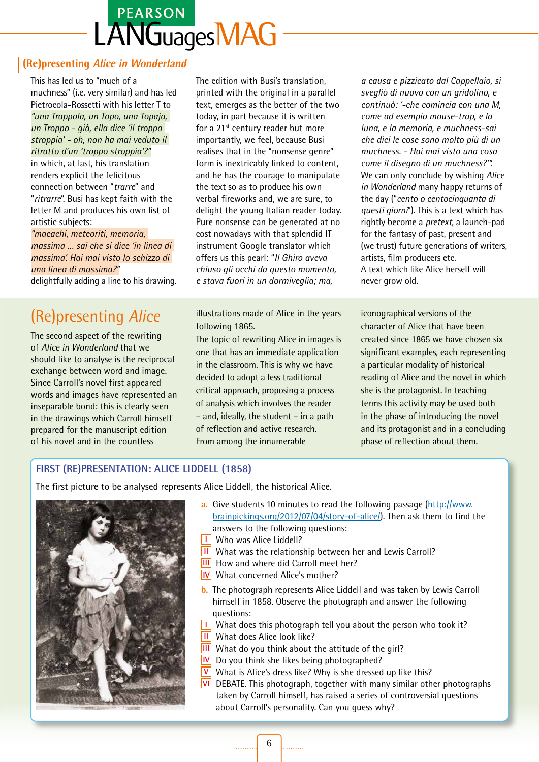# PEARSON<br>LANGuagesMAG

#### **(Re)presenting Alice in Wonderland**

This has led us to "much of a muchness" (i.e. very similar) and has led Pietrocola-Rossetti with his letter T to *"una Trappola, un Topo, una Topaja, un Troppo - già, ella dice 'il troppo stroppia' - oh, non ha mai veduto il ritratto d'un 'troppo stroppia'?"* in which, at last, his translation renders explicit the felicitous connection between "*trarre*" and "*ritrarre*". Busi has kept faith with the letter M and produces his own list of artistic subjects:

*"macachi, meteoriti, memoria, massima … sai che si dice 'in linea di massima'. Hai mai visto lo schizzo di una linea di massima?"*

delightfully adding a line to his drawing.

### (Re)presenting *Alice*

The second aspect of the rewriting of *Alice in Wonderland* that we should like to analyse is the reciprocal exchange between word and image. Since Carroll's novel first appeared words and images have represented an inseparable bond: this is clearly seen in the drawings which Carroll himself prepared for the manuscript edition of his novel and in the countless

The edition with Busi's translation, printed with the original in a parallel text, emerges as the better of the two today, in part because it is written for a 21<sup>st</sup> century reader but more importantly, we feel, because Busi realises that in the "nonsense genre" form is inextricably linked to content, and he has the courage to manipulate the text so as to produce his own verbal fireworks and, we are sure, to delight the young Italian reader today. Pure nonsense can be generated at no cost nowadays with that splendid IT instrument Google translator which offers us this pearl: "*Il Ghiro aveva chiuso gli occhi da questo momento, e stava fuori in un dormiveglia; ma,* 

illustrations made of Alice in the years following 1865.

The topic of rewriting Alice in images is one that has an immediate application in the classroom. This is why we have decided to adopt a less traditional critical approach, proposing a process of analysis which involves the reader – and, ideally, the student – in a path of reflection and active research. From among the innumerable

*a causa e pizzicato dal Cappellaio, si svegliò di nuovo con un gridolino, e continuò: '-che comincia con una M, come ad esempio mouse-trap, e la luna, e la memoria, e muchness-sai che dici le cose sono molto più di un muchness. - Hai mai visto una cosa come il disegno di un muchness?'".*  We can only conclude by wishing *Alice in Wonderland* many happy returns of the day ("*cento o centocinquanta di questi giorni*"). This is a text which has rightly become a *pretext*, a launch-pad for the fantasy of past, present and (we trust) future generations of writers, artists, film producers etc. A text which like Alice herself will never grow old.

iconographical versions of the character of Alice that have been created since 1865 we have chosen six significant examples, each representing a particular modality of historical reading of Alice and the novel in which she is the protagonist. In teaching terms this activity may be used both in the phase of introducing the novel and its protagonist and in a concluding phase of reflection about them.

#### **FIRST (RE)PRESENTATION: ALICE LIDDELL (1858)**

The first picture to be analysed represents Alice Liddell, the historical Alice.



- **a.** Give students 10 minutes to read the following passage (http://www. brainpickings.org/2012/07/04/story-of-alice/). Then ask them to find the answers to the following questions:
- **I** Who was Alice Liddell?
- **II** What was the relationship between her and Lewis Carroll?
- **III** How and where did Carroll meet her?
- **IV** What concerned Alice's mother?
- **b.** The photograph represents Alice Liddell and was taken by Lewis Carroll himself in 1858. Observe the photograph and answer the following questions:
- **I** What does this photograph tell you about the person who took it?
- **II** What does Alice look like?
- **III** What do you think about the attitude of the girl?
- **IV** Do you think she likes being photographed?
- **V** What is Alice's dress like? Why is she dressed up like this?
- **VI** DEBATE. This photograph, together with many similar other photographs taken by Carroll himself, has raised a series of controversial questions about Carroll's personality. Can you guess why?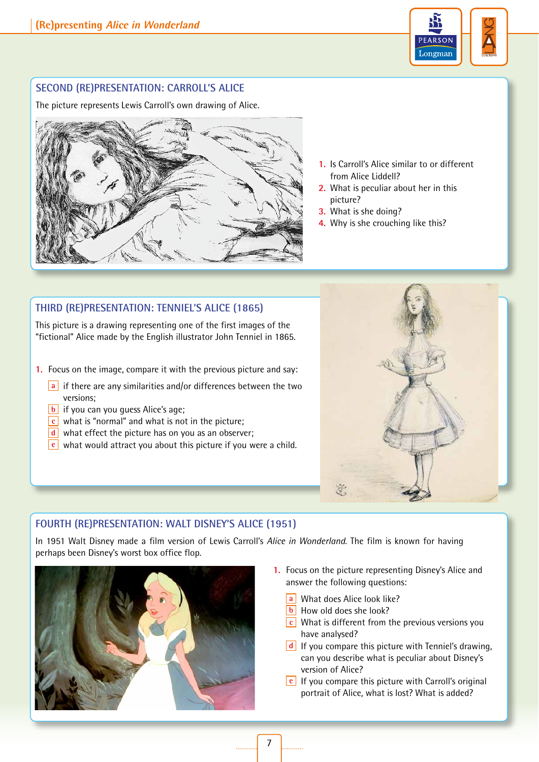

#### **SECOND (RE)PRESENTATION: CARROLL'S ALICE**

The picture represents Lewis Carroll's own drawing of Alice.



- **1.** Is Carroll's Alice similar to or different from Alice Liddell?
- **2.** What is peculiar about her in this picture?
- **3.** What is she doing?
- **4.** Why is she crouching like this?

#### **THIRD (RE)PRESENTATION: TENNIEL'S ALICE (1865)**

This picture is a drawing representing one of the first images of the "fictional" Alice made by the English illustrator John Tenniel in 1865.

- **1.** Focus on the image, compare it with the previous picture and say:
	- **a** if there are any similarities and/or differences between the two versions;
	- **b** if you can you guess Alice's age;
	- **c** what is "normal" and what is not in the picture;
	- **d** what effect the picture has on you as an observer;
	- **e** what would attract you about this picture if you were a child.



#### **FOURTH (RE)PRESENTATION: WALT DISNEY'S ALICE (1951)**

In 1951 Walt Disney made a film version of Lewis Carroll's *Alice in Wonderland*. The film is known for having perhaps been Disney's worst box office flop.



- **1.** Focus on the picture representing Disney's Alice and answer the following questions:
	- **a** What does Alice look like?
	- **b** How old does she look?
	- **c** What is different from the previous versions you have analysed?
	- **d** If you compare this picture with Tenniel's drawing, can you describe what is peculiar about Disney's version of Alice?
	- **e** If you compare this picture with Carroll's original portrait of Alice, what is lost? What is added?